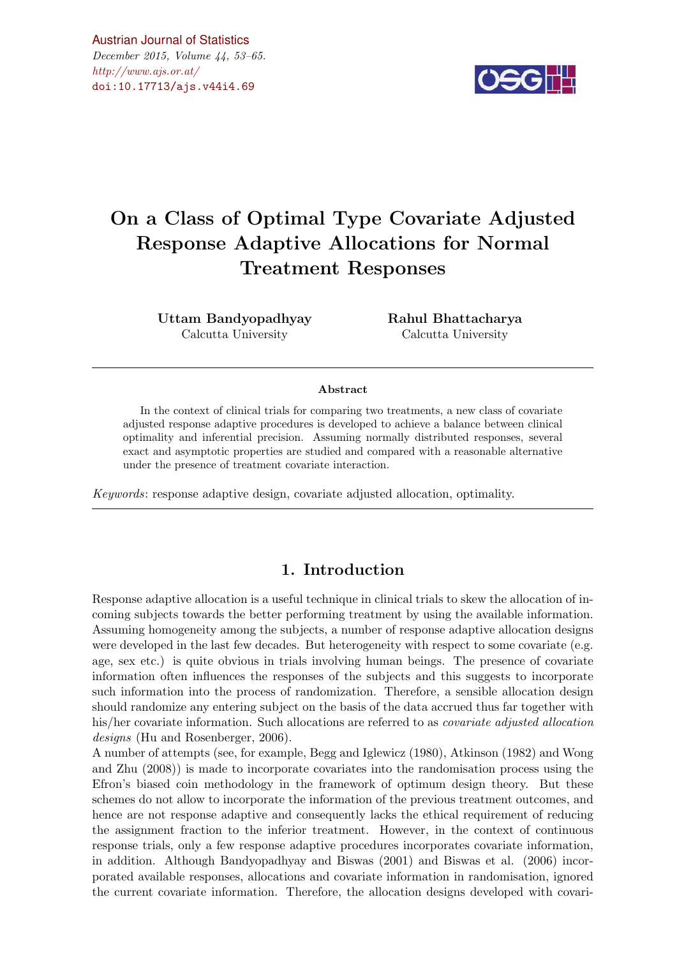$\#http://www.ajs.or.at/$  $\#http://www.ajs.or.at/$ [Austrian Journal of Statistics](http://www.ajs.or.at) December 2015, Volume 44, 53–65. [doi:10.17713/ajs.v44i4.69](http://dx.doi.org/10.17713/ajs.v44i4.69)



# On a Class of Optimal Type Covariate Adjusted Response Adaptive Allocations for Normal Treatment Responses

Uttam Bandyopadhyay Calcutta University

Rahul Bhattacharya Calcutta University

#### Abstract

In the context of clinical trials for comparing two treatments, a new class of covariate adjusted response adaptive procedures is developed to achieve a balance between clinical optimality and inferential precision. Assuming normally distributed responses, several exact and asymptotic properties are studied and compared with a reasonable alternative under the presence of treatment covariate interaction.

Keywords: response adaptive design, covariate adjusted allocation, optimality.

## 1. Introduction

Response adaptive allocation is a useful technique in clinical trials to skew the allocation of incoming subjects towards the better performing treatment by using the available information. Assuming homogeneity among the subjects, a number of response adaptive allocation designs were developed in the last few decades. But heterogeneity with respect to some covariate (e.g. age, sex etc.) is quite obvious in trials involving human beings. The presence of covariate information often influences the responses of the subjects and this suggests to incorporate such information into the process of randomization. Therefore, a sensible allocation design should randomize any entering subject on the basis of the data accrued thus far together with his/her covariate information. Such allocations are referred to as *covariate adjusted allocation* designs (Hu and Rosenberger, 2006).

A number of attempts (see, for example, Begg and Iglewicz (1980), Atkinson (1982) and Wong and Zhu (2008)) is made to incorporate covariates into the randomisation process using the Efron's biased coin methodology in the framework of optimum design theory. But these schemes do not allow to incorporate the information of the previous treatment outcomes, and hence are not response adaptive and consequently lacks the ethical requirement of reducing the assignment fraction to the inferior treatment. However, in the context of continuous response trials, only a few response adaptive procedures incorporates covariate information, in addition. Although Bandyopadhyay and Biswas (2001) and Biswas et al. (2006) incorporated available responses, allocations and covariate information in randomisation, ignored the current covariate information. Therefore, the allocation designs developed with covari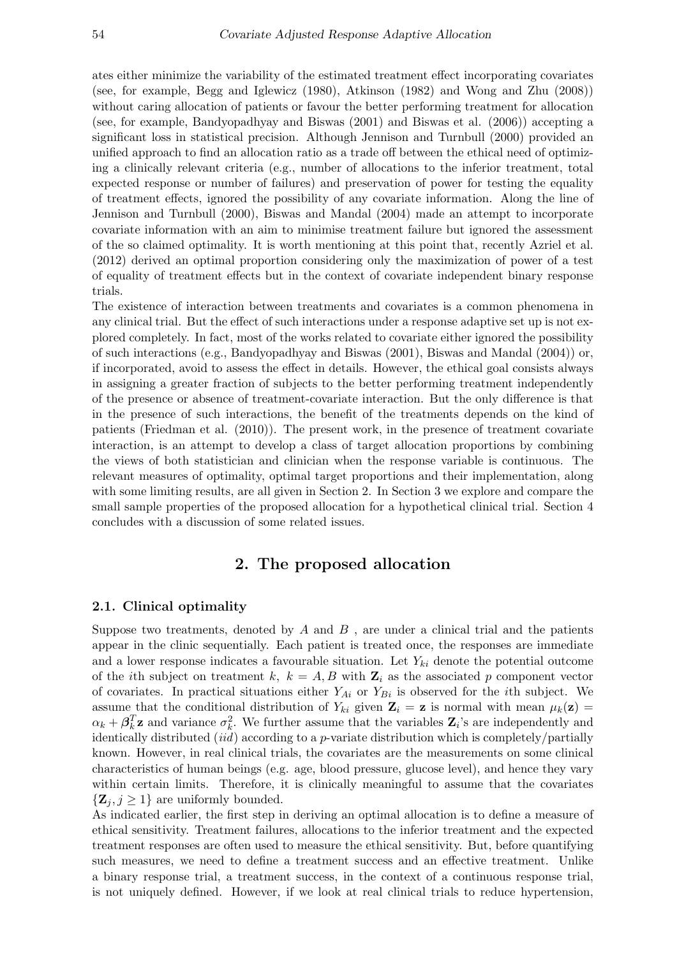ates either minimize the variability of the estimated treatment effect incorporating covariates (see, for example, Begg and Iglewicz (1980), Atkinson (1982) and Wong and Zhu (2008)) without caring allocation of patients or favour the better performing treatment for allocation (see, for example, Bandyopadhyay and Biswas (2001) and Biswas et al. (2006)) accepting a significant loss in statistical precision. Although Jennison and Turnbull (2000) provided an unified approach to find an allocation ratio as a trade off between the ethical need of optimizing a clinically relevant criteria (e.g., number of allocations to the inferior treatment, total expected response or number of failures) and preservation of power for testing the equality of treatment effects, ignored the possibility of any covariate information. Along the line of Jennison and Turnbull (2000), Biswas and Mandal (2004) made an attempt to incorporate covariate information with an aim to minimise treatment failure but ignored the assessment of the so claimed optimality. It is worth mentioning at this point that, recently Azriel et al. (2012) derived an optimal proportion considering only the maximization of power of a test of equality of treatment effects but in the context of covariate independent binary response trials.

The existence of interaction between treatments and covariates is a common phenomena in any clinical trial. But the effect of such interactions under a response adaptive set up is not explored completely. In fact, most of the works related to covariate either ignored the possibility of such interactions (e.g., Bandyopadhyay and Biswas (2001), Biswas and Mandal (2004)) or, if incorporated, avoid to assess the effect in details. However, the ethical goal consists always in assigning a greater fraction of subjects to the better performing treatment independently of the presence or absence of treatment-covariate interaction. But the only difference is that in the presence of such interactions, the benefit of the treatments depends on the kind of patients (Friedman et al. (2010)). The present work, in the presence of treatment covariate interaction, is an attempt to develop a class of target allocation proportions by combining the views of both statistician and clinician when the response variable is continuous. The relevant measures of optimality, optimal target proportions and their implementation, along with some limiting results, are all given in Section 2. In Section 3 we explore and compare the small sample properties of the proposed allocation for a hypothetical clinical trial. Section 4 concludes with a discussion of some related issues.

## 2. The proposed allocation

#### 2.1. Clinical optimality

Suppose two treatments, denoted by  $A$  and  $B$ , are under a clinical trial and the patients appear in the clinic sequentially. Each patient is treated once, the responses are immediate and a lower response indicates a favourable situation. Let  $Y_{ki}$  denote the potential outcome of the *i*th subject on treatment k,  $k = A, B$  with  $\mathbf{Z}_i$  as the associated p component vector of covariates. In practical situations either  $Y_{Ai}$  or  $Y_{Bi}$  is observed for the *i*th subject. We assume that the conditional distribution of  $Y_{ki}$  given  $\mathbf{Z}_i = \mathbf{z}$  is normal with mean  $\mu_k(\mathbf{z}) =$  $\alpha_k + \beta_k^T$ **z** and variance  $\sigma_k^2$ . We further assume that the variables  $\mathbf{Z}_i$ 's are independently and identically distributed  $(id)$  according to a p-variate distribution which is completely/partially known. However, in real clinical trials, the covariates are the measurements on some clinical characteristics of human beings (e.g. age, blood pressure, glucose level), and hence they vary within certain limits. Therefore, it is clinically meaningful to assume that the covariates  $\{Z_i, j \geq 1\}$  are uniformly bounded.

As indicated earlier, the first step in deriving an optimal allocation is to define a measure of ethical sensitivity. Treatment failures, allocations to the inferior treatment and the expected treatment responses are often used to measure the ethical sensitivity. But, before quantifying such measures, we need to define a treatment success and an effective treatment. Unlike a binary response trial, a treatment success, in the context of a continuous response trial, is not uniquely defined. However, if we look at real clinical trials to reduce hypertension,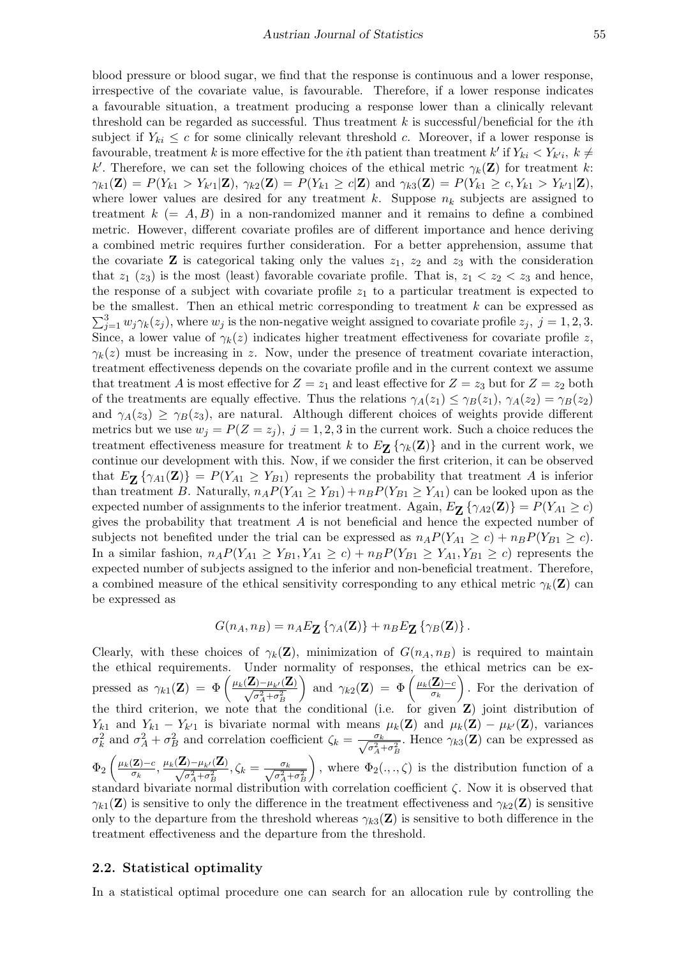blood pressure or blood sugar, we find that the response is continuous and a lower response, irrespective of the covariate value, is favourable. Therefore, if a lower response indicates a favourable situation, a treatment producing a response lower than a clinically relevant threshold can be regarded as successful. Thus treatment  $k$  is successful/beneficial for the *i*th subject if  $Y_{ki} \leq c$  for some clinically relevant threshold c. Moreover, if a lower response is favourable, treatment k is more effective for the *i*th patient than treatment  $k'$  if  $Y_{ki} < Y_{k'i}$ ,  $k \neq$ k'. Therefore, we can set the following choices of the ethical metric  $\gamma_k(\mathbf{Z})$  for treatment k:  $\gamma_{k1}(\mathbf{Z}) = P(Y_{k1} > Y_{k'1} | \mathbf{Z}), \gamma_{k2}(\mathbf{Z}) = P(Y_{k1} \ge c | \mathbf{Z}) \text{ and } \gamma_{k3}(\mathbf{Z}) = P(Y_{k1} \ge c, Y_{k1} > Y_{k'1} | \mathbf{Z}),$ where lower values are desired for any treatment k. Suppose  $n_k$  subjects are assigned to treatment  $k (= A, B)$  in a non-randomized manner and it remains to define a combined metric. However, different covariate profiles are of different importance and hence deriving a combined metric requires further consideration. For a better apprehension, assume that the covariate **Z** is categorical taking only the values  $z_1$ ,  $z_2$  and  $z_3$  with the consideration that  $z_1$  ( $z_3$ ) is the most (least) favorable covariate profile. That is,  $z_1 < z_2 < z_3$  and hence, the response of a subject with covariate profile  $z_1$  to a particular treatment is expected to be the smallest. Then an ethical metric corresponding to treatment  $k$  can be expressed as  $\sum_{j=1}^{3} w_j \gamma_k(z_j)$ , where  $w_j$  is the non-negative weight assigned to covariate profile  $z_j$ ,  $j=1,2,3$ . Since, a lower value of  $\gamma_k(z)$  indicates higher treatment effectiveness for covariate profile z,  $\gamma_k(z)$  must be increasing in z. Now, under the presence of treatment covariate interaction, treatment effectiveness depends on the covariate profile and in the current context we assume that treatment A is most effective for  $Z = z_1$  and least effective for  $Z = z_3$  but for  $Z = z_2$  both of the treatments are equally effective. Thus the relations  $\gamma_A(z_1) \leq \gamma_B(z_1)$ ,  $\gamma_A(z_2) = \gamma_B(z_2)$ and  $\gamma_A(z_3) \geq \gamma_B(z_3)$ , are natural. Although different choices of weights provide different metrics but we use  $w_j = P(Z = z_j)$ ,  $j = 1, 2, 3$  in the current work. Such a choice reduces the treatment effectiveness measure for treatment k to  $E_{\mathbf{Z}}\{\gamma_k(\mathbf{Z})\}$  and in the current work, we continue our development with this. Now, if we consider the first criterion, it can be observed that  $E_{\mathbf{Z}}\{\gamma_{A1}(\mathbf{Z})\}=P(Y_{A1}\geq Y_{B1})$  represents the probability that treatment A is inferior than treatment B. Naturally,  $n_A P(Y_{A1} \ge Y_{B1}) + n_B P(Y_{B1} \ge Y_{A1})$  can be looked upon as the expected number of assignments to the inferior treatment. Again,  $E_{\mathbf{Z}}\{\gamma_{A2}(\mathbf{Z})\}=P(Y_{A1}\geq c)$ gives the probability that treatment  $A$  is not beneficial and hence the expected number of subjects not benefited under the trial can be expressed as  $n_A P(Y_{A1} \ge c) + n_B P(Y_{B1} \ge c)$ . In a similar fashion,  $n_A P(Y_{A1} \geq Y_{B1}, Y_{A1} \geq c) + n_B P(Y_{B1} \geq Y_{A1}, Y_{B1} \geq c)$  represents the expected number of subjects assigned to the inferior and non-beneficial treatment. Therefore, a combined measure of the ethical sensitivity corresponding to any ethical metric  $\gamma_k(\mathbf{Z})$  can be expressed as

$$
G(n_A, n_B) = n_A E_{\mathbf{Z}} \left\{ \gamma_A(\mathbf{Z}) \right\} + n_B E_{\mathbf{Z}} \left\{ \gamma_B(\mathbf{Z}) \right\}.
$$

Clearly, with these choices of  $\gamma_k(\mathbf{Z})$ , minimization of  $G(n_A, n_B)$  is required to maintain the ethical requirements. Under normality of responses, the ethical metrics can be expressed as  $\gamma_{k1}(\mathbf{Z}) = \Phi\left(\frac{\mu_k(\mathbf{Z}) - \mu_{k'}(\mathbf{Z})}{\sqrt{\sigma^2 + \sigma^2}}\right)$  $\sigma_A^2 + \sigma_B^2$ and  $\gamma_{k2}(\mathbf{Z}) = \Phi\left(\frac{\mu_k(\mathbf{Z}) - c}{\sigma_k}\right)$  $\sigma_k$  . For the derivation of the third criterion, we note that the conditional (i.e. for given Z) joint distribution of  $Y_{k1}$  and  $Y_{k1} - Y_{k1}$  is bivariate normal with means  $\mu_k(\mathbf{Z})$  and  $\mu_k(\mathbf{Z}) - \mu_{k'}(\mathbf{Z})$ , variances  $\sigma_k^2$  and  $\sigma_A^2 + \sigma_B^2$  and correlation coefficient  $\zeta_k = \frac{\sigma_k}{\sqrt{\sigma_A^2 + \sigma_B^2}}$ . Hence  $\gamma_{k3}(\mathbf{Z})$  can be expressed as  $\Phi_2\left(\frac{\mu_k(\mathbf{Z})-c}{\sigma_k}\right)$  $\frac{\mu_k(\mathbf{Z})-\mu_{k'}(\mathbf{Z})}{\sigma_k}, \frac{\mu_k(\mathbf{Z})-\mu_{k'}(\mathbf{Z})}{\sqrt{\sigma^2 + \sigma^2_k}}$  $\frac{\sigma_k}{\sigma_A^2+\sigma_B^2}, \zeta_k=\frac{\sigma_k}{\sqrt{\sigma_A^2+\sigma_B^2}}$ ), where  $\Phi_2(.,.,\zeta)$  is the distribution function of a standard bivariate normal distribution with correlation coefficient  $\zeta$ . Now it is observed that  $\gamma_{k1}(\mathbf{Z})$  is sensitive to only the difference in the treatment effectiveness and  $\gamma_{k2}(\mathbf{Z})$  is sensitive only to the departure from the threshold whereas  $\gamma_{k3}(\mathbf{Z})$  is sensitive to both difference in the treatment effectiveness and the departure from the threshold.

#### 2.2. Statistical optimality

In a statistical optimal procedure one can search for an allocation rule by controlling the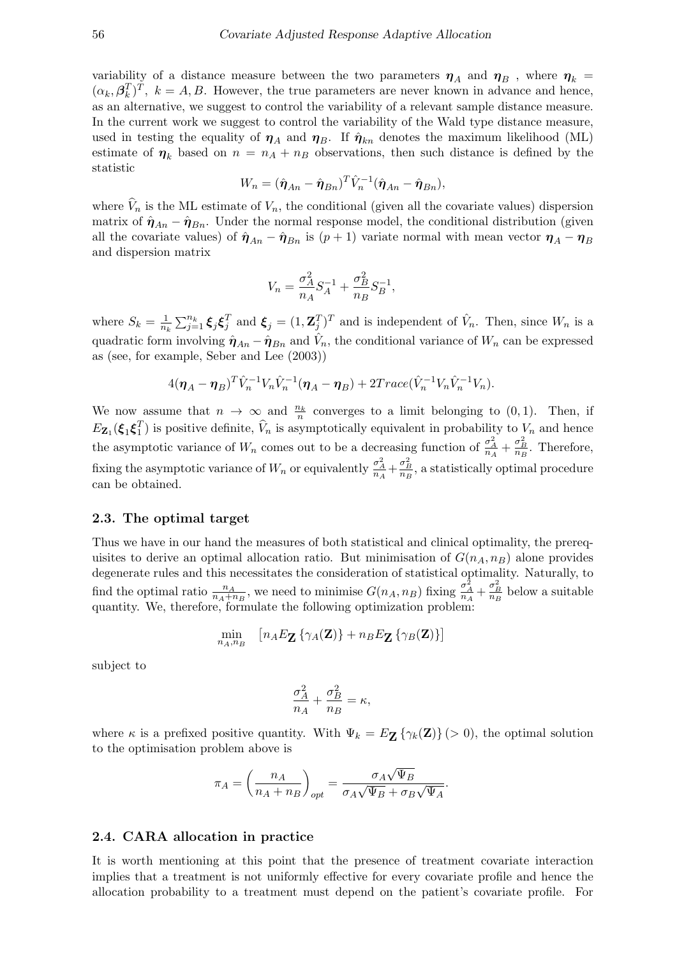variability of a distance measure between the two parameters  $\eta_A$  and  $\eta_B$ , where  $\eta_k =$  $(\alpha_k, \beta_k^T)^T$ ,  $k = A, B$ . However, the true parameters are never known in advance and hence, as an alternative, we suggest to control the variability of a relevant sample distance measure. In the current work we suggest to control the variability of the Wald type distance measure, used in testing the equality of  $\eta_A$  and  $\eta_B$ . If  $\hat{\eta}_{kn}$  denotes the maximum likelihood (ML) estimate of  $\eta_k$  based on  $n = n_A + n_B$  observations, then such distance is defined by the statistic

$$
W_n = (\hat{\boldsymbol{\eta}}_{An} - \hat{\boldsymbol{\eta}}_{Bn})^T \hat{V}_n^{-1} (\hat{\boldsymbol{\eta}}_{An} - \hat{\boldsymbol{\eta}}_{Bn}),
$$

where  $V_n$  is the ML estimate of  $V_n$ , the conditional (given all the covariate values) dispersion matrix of  $\hat{\eta}_{An} - \hat{\eta}_{Bn}$ . Under the normal response model, the conditional distribution (given all the covariate values) of  $\hat{\eta}_{An} - \hat{\eta}_{Bn}$  is  $(p+1)$  variate normal with mean vector  $\eta_A - \eta_B$ and dispersion matrix

$$
V_n = \frac{\sigma_A^2}{n_A} S_A^{-1} + \frac{\sigma_B^2}{n_B} S_B^{-1},
$$

where  $S_k = \frac{1}{n_i}$  $\frac{1}{n_k} \sum_{j=1}^{n_k} \xi_j \xi_j^T$  and  $\xi_j = (1, \mathbf{Z}_j^T)^T$  and is independent of  $\hat{V}_n$ . Then, since  $W_n$  is a quadratic form involving  $\hat{\eta}_{An} - \hat{\eta}_{Bn}$  and  $\hat{V}_n$ , the conditional variance of  $W_n$  can be expressed as (see, for example, Seber and Lee (2003))

$$
4(\boldsymbol{\eta}_A-\boldsymbol{\eta}_B)^T\hat{V}_n^{-1}V_n\hat{V}_n^{-1}(\boldsymbol{\eta}_A-\boldsymbol{\eta}_B)+2Trace(\hat{V}_n^{-1}V_n\hat{V}_n^{-1}V_n).
$$

We now assume that  $n \to \infty$  and  $\frac{n_k}{n}$  converges to a limit belonging to  $(0, 1)$ . Then, if  $E_{\mathbf{Z}_1}(\xi_1\xi_1^T)$  is positive definite,  $\widehat{V}_n$  is asymptotically equivalent in probability to  $V_n$  and hence the asymptotic variance of  $W_n$  comes out to be a decreasing function of  $\frac{\sigma_A^2}{n_A} + \frac{\sigma_B^2}{n_B}$ . Therefore, fixing the asymptotic variance of  $W_n$  or equivalently  $\frac{\sigma_A^2}{n_A} + \frac{\sigma_B^2}{n_B}$ , a statistically optimal procedure can be obtained.

#### 2.3. The optimal target

Thus we have in our hand the measures of both statistical and clinical optimality, the prerequisites to derive an optimal allocation ratio. But minimisation of  $G(n_A, n_B)$  alone provides degenerate rules and this necessitates the consideration of statistical optimality. Naturally, to find the optimal ratio  $\frac{n_A}{n_A+n_B}$ , we need to minimise  $G(n_A, n_B)$  fixing  $\frac{\sigma_A^2}{n_A} + \frac{\sigma_B^2}{n_B}$  below a suitable quantity. We, therefore, formulate the following optimization problem:

$$
\min_{n_A, n_B} \quad [n_A E_{\mathbf{Z}} \left\{ \gamma_A(\mathbf{Z}) \right\} + n_B E_{\mathbf{Z}} \left\{ \gamma_B(\mathbf{Z}) \right\}]
$$

subject to

$$
\frac{\sigma_A^2}{n_A} + \frac{\sigma_B^2}{n_B} = \kappa,
$$

where  $\kappa$  is a prefixed positive quantity. With  $\Psi_k = E_{\mathbf{Z}} \left\{ \gamma_k(\mathbf{Z}) \right\} (>0)$ , the optimal solution to the optimisation problem above is

$$
\pi_A = \left(\frac{n_A}{n_A + n_B}\right)_{opt} = \frac{\sigma_A \sqrt{\Psi_B}}{\sigma_A \sqrt{\Psi_B} + \sigma_B \sqrt{\Psi_A}}.
$$

#### 2.4. CARA allocation in practice

It is worth mentioning at this point that the presence of treatment covariate interaction implies that a treatment is not uniformly effective for every covariate profile and hence the allocation probability to a treatment must depend on the patient's covariate profile. For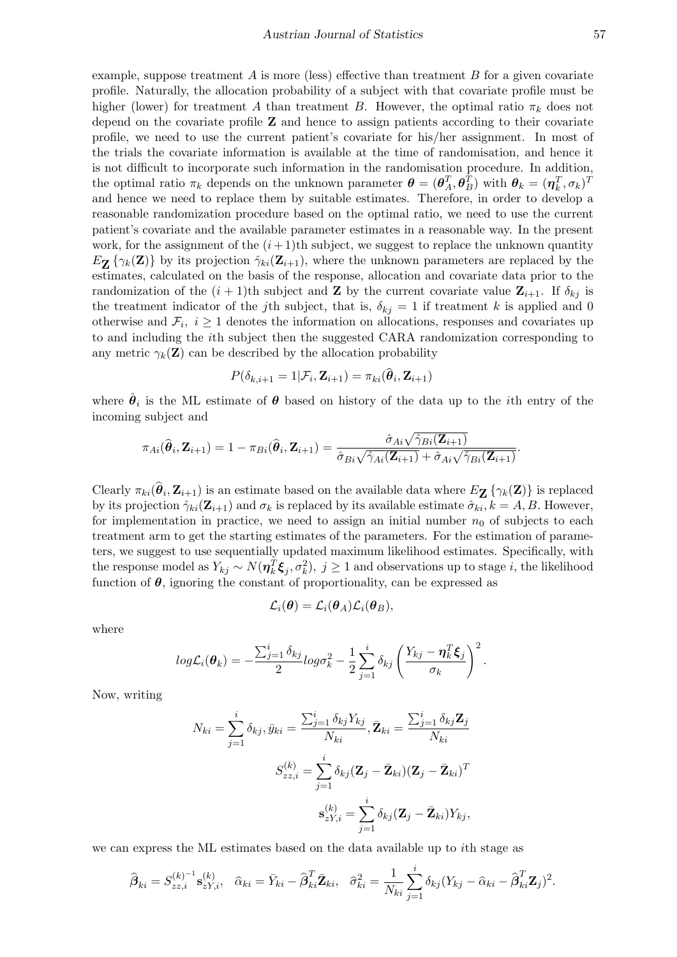example, suppose treatment A is more (less) effective than treatment B for a given covariate profile. Naturally, the allocation probability of a subject with that covariate profile must be higher (lower) for treatment A than treatment B. However, the optimal ratio  $\pi_k$  does not depend on the covariate profile Z and hence to assign patients according to their covariate profile, we need to use the current patient's covariate for his/her assignment. In most of the trials the covariate information is available at the time of randomisation, and hence it is not difficult to incorporate such information in the randomisation procedure. In addition, the optimal ratio  $\pi_k$  depends on the unknown parameter  $\boldsymbol{\theta} = (\boldsymbol{\theta}_A^T, \boldsymbol{\theta}_B^T)$  with  $\boldsymbol{\theta}_k = (\boldsymbol{\eta}_k^T, \sigma_k)^T$ and hence we need to replace them by suitable estimates. Therefore, in order to develop a reasonable randomization procedure based on the optimal ratio, we need to use the current patient's covariate and the available parameter estimates in a reasonable way. In the present work, for the assignment of the  $(i+1)$ th subject, we suggest to replace the unknown quantity  $E_{\mathbf{Z}}\{\gamma_k(\mathbf{Z})\}$  by its projection  $\hat{\gamma}_{ki}(\mathbf{Z}_{i+1})$ , where the unknown parameters are replaced by the estimates, calculated on the basis of the response, allocation and covariate data prior to the randomization of the  $(i + 1)$ th subject and **Z** by the current covariate value  $\mathbf{Z}_{i+1}$ . If  $\delta_{kj}$  is the treatment indicator of the j<sup>th</sup> subject, that is,  $\delta_{kj} = 1$  if treatment k is applied and 0 otherwise and  $\mathcal{F}_i$ ,  $i \geq 1$  denotes the information on allocations, responses and covariates up to and including the ith subject then the suggested CARA randomization corresponding to any metric  $\gamma_k(\mathbf{Z})$  can be described by the allocation probability

$$
P(\delta_{k,i+1} = 1 | \mathcal{F}_i, \mathbf{Z}_{i+1}) = \pi_{ki}(\boldsymbol{\theta}_i, \mathbf{Z}_{i+1})
$$

where  $\hat{\theta}_i$  is the ML estimate of  $\theta$  based on history of the data up to the *i*th entry of the incoming subject and

$$
\pi_{Ai}(\widehat{\boldsymbol{\theta}}_i, \mathbf{Z}_{i+1}) = 1 - \pi_{Bi}(\widehat{\boldsymbol{\theta}}_i, \mathbf{Z}_{i+1}) = \frac{\widehat{\sigma}_{Ai}\sqrt{\widehat{\gamma}_{Bi}(\mathbf{Z}_{i+1})}}{\widehat{\sigma}_{Bi}\sqrt{\widehat{\gamma}_{Ai}(\mathbf{Z}_{i+1})} + \widehat{\sigma}_{Ai}\sqrt{\widehat{\gamma}_{Bi}(\mathbf{Z}_{i+1})}}.
$$

Clearly  $\pi_{ki}(\theta_i, \mathbf{Z}_{i+1})$  is an estimate based on the available data where  $E_{\mathbf{Z}}\{\gamma_k(\mathbf{Z})\}$  is replaced by its projection  $\hat{\gamma}_{ki}(\mathbf{Z}_{i+1})$  and  $\sigma_k$  is replaced by its available estimate  $\hat{\sigma}_{ki}$ ,  $k = A, B$ . However, for implementation in practice, we need to assign an initial number  $n_0$  of subjects to each treatment arm to get the starting estimates of the parameters. For the estimation of parameters, we suggest to use sequentially updated maximum likelihood estimates. Specifically, with the response model as  $Y_{kj} \sim N(\eta_k^T \xi_j, \sigma_k^2), j \ge 1$  and observations up to stage i, the likelihood function of  $\theta$ , ignoring the constant of proportionality, can be expressed as

$$
\mathcal{L}_i(\boldsymbol{\theta}) = \mathcal{L}_i(\boldsymbol{\theta}_A) \mathcal{L}_i(\boldsymbol{\theta}_B),
$$

where

$$
log\mathcal{L}_{i}(\boldsymbol{\theta}_k)=-\frac{\sum_{j=1}^{i}\delta_{kj}}{2}log\sigma_k^2-\frac{1}{2}\sum_{j=1}^{i}\delta_{kj}\left(\frac{Y_{kj}-\boldsymbol{\eta}_k^T\boldsymbol{\xi}_j}{\sigma_k}\right)^2.
$$

Now, writing

$$
N_{ki} = \sum_{j=1}^{i} \delta_{kj}, \bar{y}_{ki} = \frac{\sum_{j=1}^{i} \delta_{kj} Y_{kj}}{N_{ki}}, \bar{Z}_{ki} = \frac{\sum_{j=1}^{i} \delta_{kj} Z_j}{N_{ki}}
$$

$$
S_{zz,i}^{(k)} = \sum_{j=1}^{i} \delta_{kj} (\mathbf{Z}_j - \bar{\mathbf{Z}}_{ki}) (\mathbf{Z}_j - \bar{\mathbf{Z}}_{ki})^T
$$

$$
\mathbf{s}_{zY,i}^{(k)} = \sum_{j=1}^{i} \delta_{kj} (\mathbf{Z}_j - \bar{\mathbf{Z}}_{ki}) Y_{kj},
$$

we can express the ML estimates based on the data available up to ith stage as

$$
\widehat{\boldsymbol{\beta}}_{ki} = S_{zz,i}^{(k)^{-1}} \mathbf{s}_{zY,i}^{(k)}, \quad \widehat{\alpha}_{ki} = \bar{Y}_{ki} - \widehat{\boldsymbol{\beta}}_{ki}^T \bar{\mathbf{Z}}_{ki}, \quad \widehat{\sigma}_{ki}^2 = \frac{1}{N_{ki}} \sum_{j=1}^i \delta_{kj} (Y_{kj} - \widehat{\alpha}_{ki} - \widehat{\boldsymbol{\beta}}_{ki}^T \mathbf{Z}_j)^2.
$$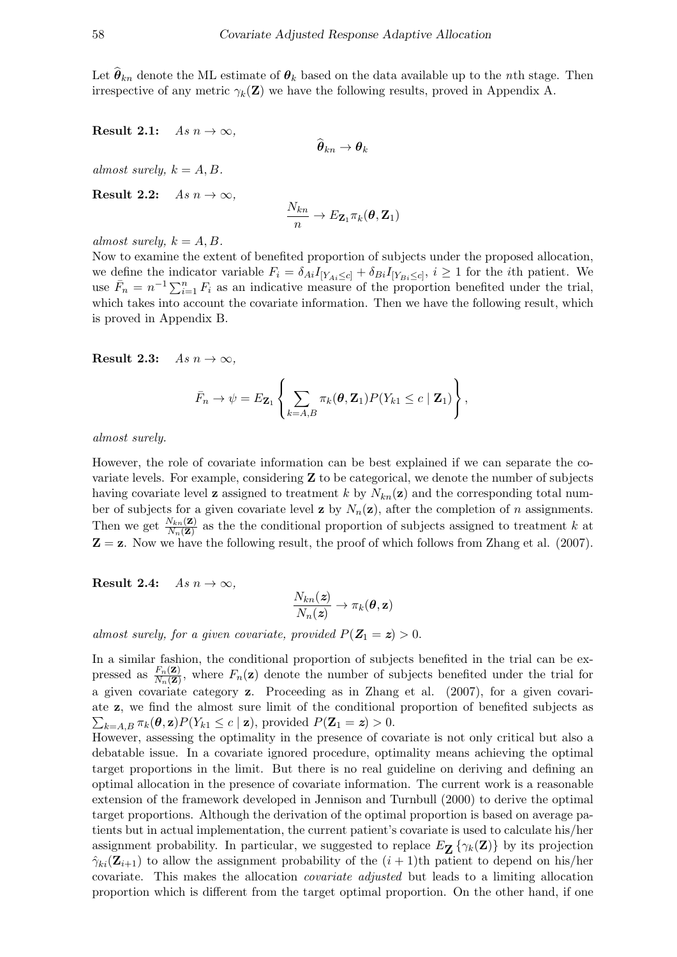Let  $\theta_{kn}$  denote the ML estimate of  $\theta_k$  based on the data available up to the nth stage. Then irrespective of any metric  $\gamma_k(\mathbf{Z})$  we have the following results, proved in Appendix A.

Result 2.1:  $As n \to \infty$ ,

$$
\boldsymbol{\theta}_{kn} \rightarrow \boldsymbol{\theta}_k
$$

almost surely,  $k = A, B$ .

Result 2.2:  $As n \to \infty$ ,

$$
\frac{N_{kn}}{n} \to E_{\mathbf{Z}_1} \pi_k(\boldsymbol{\theta}, \mathbf{Z}_1)
$$

almost surely,  $k = A, B$ .

Now to examine the extent of benefited proportion of subjects under the proposed allocation, we define the indicator variable  $F_i = \delta_{Ai} I_{[Y_{Ai} \leq c]} + \delta_{Bi} I_{[Y_{Bi} \leq c]}, i \geq 1$  for the *i*th patient. We use  $\bar{F}_n = n^{-1} \sum_{i=1}^n F_i$  as an indicative measure of the proportion benefited under the trial, which takes into account the covariate information. Then we have the following result, which is proved in Appendix B.

Result 2.3:  $As n \to \infty$ .

$$
\bar{F}_n \to \psi = E_{\mathbf{Z}_1} \left\{ \sum_{k=A,B} \pi_k(\boldsymbol{\theta}, \mathbf{Z}_1) P(Y_{k1} \leq c \mid \mathbf{Z}_1) \right\},\,
$$

almost surely.

However, the role of covariate information can be best explained if we can separate the covariate levels. For example, considering  $Z$  to be categorical, we denote the number of subjects having covariate level **z** assigned to treatment k by  $N_{kn}(\mathbf{z})$  and the corresponding total number of subjects for a given covariate level **z** by  $N_n(\mathbf{z})$ , after the completion of *n* assignments. Then we get  $\frac{N_{kn}(\mathbf{Z})}{N_n(\mathbf{Z})}$  as the the conditional proportion of subjects assigned to treatment k at  $Z = z$ . Now we have the following result, the proof of which follows from Zhang et al. (2007).

Result 2.4:  $As n \to \infty$ ,

$$
\frac{N_{kn}(\boldsymbol{z})}{N_n(\boldsymbol{z})}\rightarrow \pi_k(\boldsymbol{\theta},\mathbf{z})
$$

almost surely, for a given covariate, provided  $P(Z_1 = z) > 0$ .

In a similar fashion, the conditional proportion of subjects benefited in the trial can be expressed as  $\frac{F_n(\mathbf{Z})}{N_n(\mathbf{Z})}$ , where  $F_n(\mathbf{z})$  denote the number of subjects benefited under the trial for a given covariate category z. Proceeding as in Zhang et al. (2007), for a given covariate z, we find the almost sure limit of the conditional proportion of benefited subjects as  $\sum_{k=A,B} \pi_k(\boldsymbol{\theta}, \mathbf{z}) P(Y_{k1} \leq c \mid \mathbf{z})$ , provided  $P(\mathbf{Z}_1 = \mathbf{z}) > 0$ .

However, assessing the optimality in the presence of covariate is not only critical but also a debatable issue. In a covariate ignored procedure, optimality means achieving the optimal target proportions in the limit. But there is no real guideline on deriving and defining an optimal allocation in the presence of covariate information. The current work is a reasonable extension of the framework developed in Jennison and Turnbull (2000) to derive the optimal target proportions. Although the derivation of the optimal proportion is based on average patients but in actual implementation, the current patient's covariate is used to calculate his/her assignment probability. In particular, we suggested to replace  $E_{\mathbf{Z}}\{\gamma_k(\mathbf{Z})\}$  by its projection  $\hat{\gamma}_{ki}(\mathbf{Z}_{i+1})$  to allow the assignment probability of the  $(i + 1)$ th patient to depend on his/her covariate. This makes the allocation covariate adjusted but leads to a limiting allocation proportion which is different from the target optimal proportion. On the other hand, if one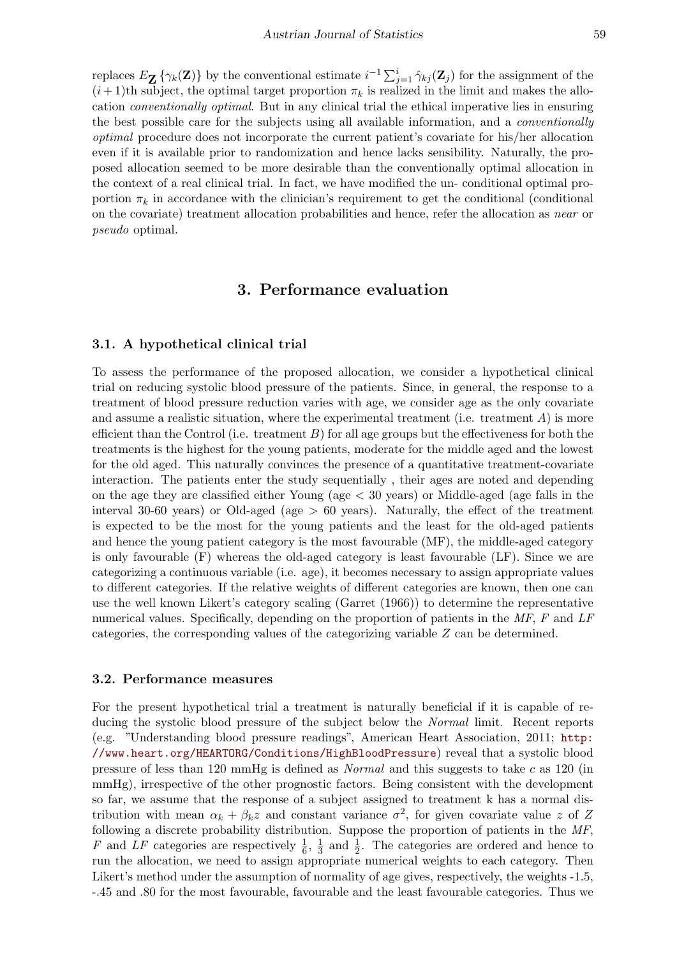replaces  $E_{\mathbf{Z}}\{\gamma_k(\mathbf{Z})\}$  by the conventional estimate  $i^{-1}\sum_{j=1}^i \hat{\gamma}_{kj}(\mathbf{Z}_j)$  for the assignment of the  $(i+1)$ th subject, the optimal target proportion  $\pi_k$  is realized in the limit and makes the allocation conventionally optimal. But in any clinical trial the ethical imperative lies in ensuring the best possible care for the subjects using all available information, and a conventionally optimal procedure does not incorporate the current patient's covariate for his/her allocation even if it is available prior to randomization and hence lacks sensibility. Naturally, the proposed allocation seemed to be more desirable than the conventionally optimal allocation in the context of a real clinical trial. In fact, we have modified the un- conditional optimal proportion  $\pi_k$  in accordance with the clinician's requirement to get the conditional (conditional on the covariate) treatment allocation probabilities and hence, refer the allocation as near or pseudo optimal.

## 3. Performance evaluation

#### 3.1. A hypothetical clinical trial

To assess the performance of the proposed allocation, we consider a hypothetical clinical trial on reducing systolic blood pressure of the patients. Since, in general, the response to a treatment of blood pressure reduction varies with age, we consider age as the only covariate and assume a realistic situation, where the experimental treatment (i.e. treatment  $A$ ) is more efficient than the Control (i.e. treatment  $B$ ) for all age groups but the effectiveness for both the treatments is the highest for the young patients, moderate for the middle aged and the lowest for the old aged. This naturally convinces the presence of a quantitative treatment-covariate interaction. The patients enter the study sequentially , their ages are noted and depending on the age they are classified either Young (age  $<$  30 years) or Middle-aged (age falls in the interval 30-60 years) or Old-aged (age > 60 years). Naturally, the effect of the treatment is expected to be the most for the young patients and the least for the old-aged patients and hence the young patient category is the most favourable (MF), the middle-aged category is only favourable (F) whereas the old-aged category is least favourable (LF). Since we are categorizing a continuous variable (i.e. age), it becomes necessary to assign appropriate values to different categories. If the relative weights of different categories are known, then one can use the well known Likert's category scaling (Garret (1966)) to determine the representative numerical values. Specifically, depending on the proportion of patients in the MF, F and LF categories, the corresponding values of the categorizing variable Z can be determined.

### 3.2. Performance measures

For the present hypothetical trial a treatment is naturally beneficial if it is capable of reducing the systolic blood pressure of the subject below the Normal limit. Recent reports (e.g. "Understanding blood pressure readings", American Heart Association, 2011; [http:](http://www.heart.org/HEARTORG/Conditions/HighBloodPressure) [//www.heart.org/HEARTORG/Conditions/HighBloodPressure](http://www.heart.org/HEARTORG/Conditions/HighBloodPressure)) reveal that a systolic blood pressure of less than 120 mmHg is defined as Normal and this suggests to take c as 120 (in mmHg), irrespective of the other prognostic factors. Being consistent with the development so far, we assume that the response of a subject assigned to treatment k has a normal distribution with mean  $\alpha_k + \beta_k z$  and constant variance  $\sigma^2$ , for given covariate value z of Z following a discrete probability distribution. Suppose the proportion of patients in the MF, F and LF categories are respectively  $\frac{1}{6}$ ,  $\frac{1}{3}$  $\frac{1}{3}$  and  $\frac{1}{2}$ . The categories are ordered and hence to run the allocation, we need to assign appropriate numerical weights to each category. Then Likert's method under the assumption of normality of age gives, respectively, the weights -1.5, -.45 and .80 for the most favourable, favourable and the least favourable categories. Thus we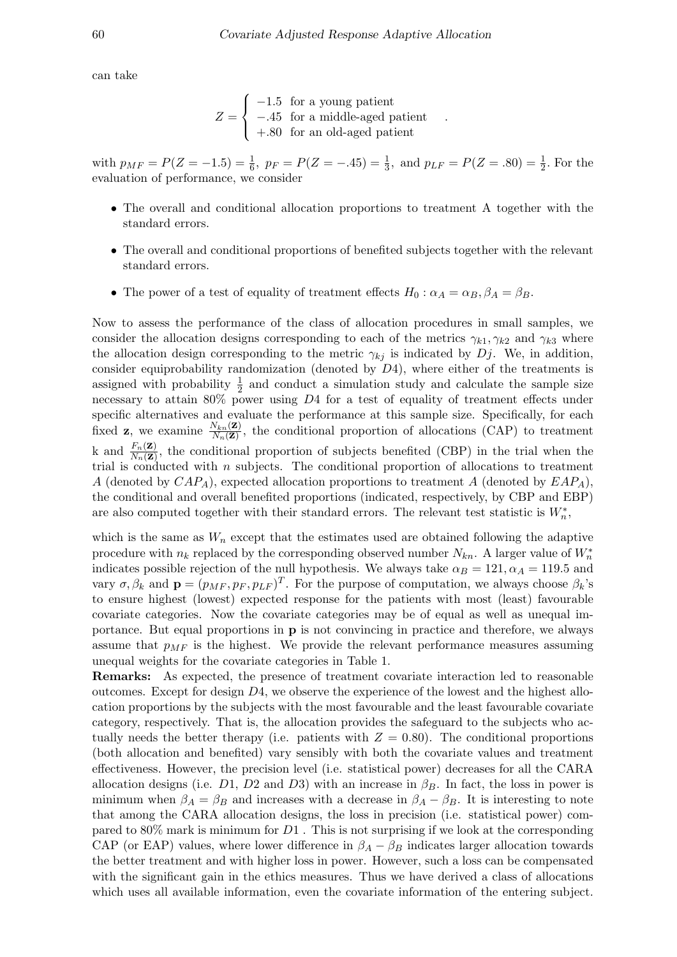.

can take

$$
Z = \begin{cases}\n-1.5 & \text{for a young patient} \\
-.45 & \text{for a middle-aged patient} \\
+.80 & \text{for an old-aged patient}\n\end{cases}
$$

with  $p_{MF} = P(Z = -1.5) = \frac{1}{6}$ ,  $p_F = P(Z = -0.45) = \frac{1}{3}$ , and  $p_{LF} = P(Z = 0.80) = \frac{1}{2}$ . For the evaluation of performance, we consider

- The overall and conditional allocation proportions to treatment A together with the standard errors.
- The overall and conditional proportions of benefited subjects together with the relevant standard errors.
- The power of a test of equality of treatment effects  $H_0$ :  $\alpha_A = \alpha_B$ ,  $\beta_A = \beta_B$ .

Now to assess the performance of the class of allocation procedures in small samples, we consider the allocation designs corresponding to each of the metrics  $\gamma_{k1}, \gamma_{k2}$  and  $\gamma_{k3}$  where the allocation design corresponding to the metric  $\gamma_{kj}$  is indicated by Dj. We, in addition, consider equiprobability randomization (denoted by D4), where either of the treatments is assigned with probability  $\frac{1}{2}$  and conduct a simulation study and calculate the sample size necessary to attain 80% power using D4 for a test of equality of treatment effects under specific alternatives and evaluate the performance at this sample size. Specifically, for each fixed **z**, we examine  $\frac{N_{kn}(\mathbf{Z})}{N_n(\mathbf{Z})}$ , the conditional proportion of allocations (CAP) to treatment k and  $\frac{F_n(\mathbf{Z})}{N_n(\mathbf{Z})}$ , the conditional proportion of subjects benefited (CBP) in the trial when the trial is conducted with n subjects. The conditional proportion of allocations to treatment A (denoted by  $CAP<sub>A</sub>$ ), expected allocation proportions to treatment A (denoted by  $EAP<sub>A</sub>$ ), the conditional and overall benefited proportions (indicated, respectively, by CBP and EBP) are also computed together with their standard errors. The relevant test statistic is  $W_n^*$ ,

which is the same as  $W_n$  except that the estimates used are obtained following the adaptive procedure with  $n_k$  replaced by the corresponding observed number  $N_{kn}$ . A larger value of  $W_n^*$ indicates possible rejection of the null hypothesis. We always take  $\alpha_B = 121, \alpha_A = 119.5$  and vary  $\sigma$ ,  $\beta_k$  and  $\mathbf{p} = (p_{MF}, p_F, p_{LF})^T$ . For the purpose of computation, we always choose  $\beta_k$ 's to ensure highest (lowest) expected response for the patients with most (least) favourable covariate categories. Now the covariate categories may be of equal as well as unequal importance. But equal proportions in p is not convincing in practice and therefore, we always assume that  $p_{MF}$  is the highest. We provide the relevant performance measures assuming unequal weights for the covariate categories in Table 1.

Remarks: As expected, the presence of treatment covariate interaction led to reasonable outcomes. Except for design  $D4$ , we observe the experience of the lowest and the highest allocation proportions by the subjects with the most favourable and the least favourable covariate category, respectively. That is, the allocation provides the safeguard to the subjects who actually needs the better therapy (i.e. patients with  $Z = 0.80$ ). The conditional proportions (both allocation and benefited) vary sensibly with both the covariate values and treatment effectiveness. However, the precision level (i.e. statistical power) decreases for all the CARA allocation designs (i.e. D1, D2 and D3) with an increase in  $\beta_B$ . In fact, the loss in power is minimum when  $\beta_A = \beta_B$  and increases with a decrease in  $\beta_A - \beta_B$ . It is interesting to note that among the CARA allocation designs, the loss in precision (i.e. statistical power) compared to  $80\%$  mark is minimum for  $D1$ . This is not surprising if we look at the corresponding CAP (or EAP) values, where lower difference in  $\beta_A - \beta_B$  indicates larger allocation towards the better treatment and with higher loss in power. However, such a loss can be compensated with the significant gain in the ethics measures. Thus we have derived a class of allocations which uses all available information, even the covariate information of the entering subject.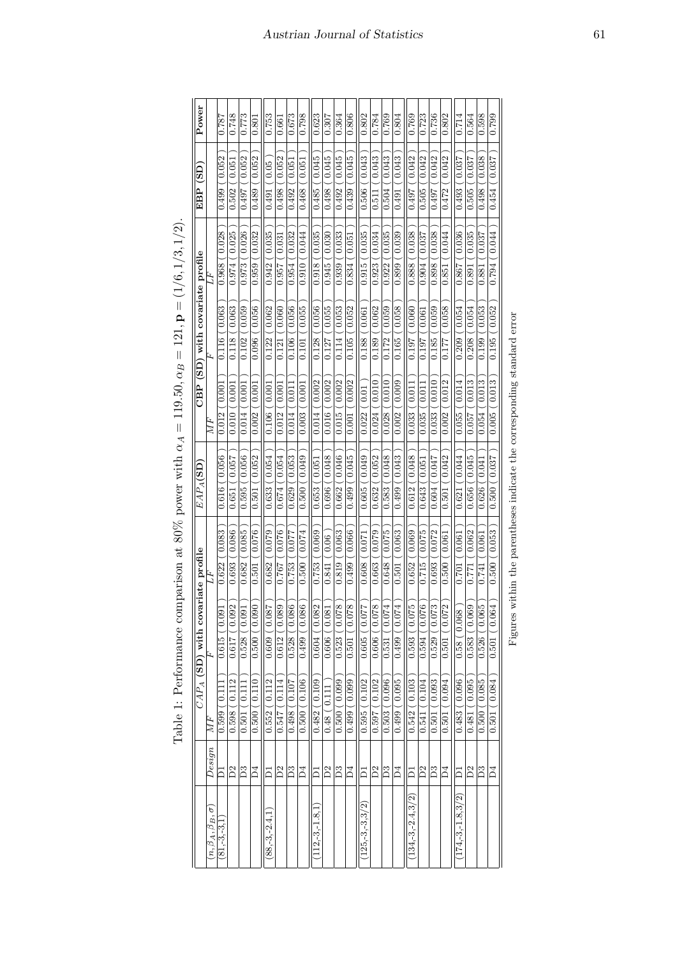| Power                               |                                | $\frac{182}{18}$        | 0.748               | 0.773             | 0.801            | 0.753                        | 0.661                     | 0.673                        | 0.798           | 0.623                | 0.307            | 0.364                                    | 0.806                        | 0.802                          | 0.784                            | 0.769              | 0.804                | 0.769                  | 0.723                              | 0.736           | 0.802                                | 0.714                 | 0.564                         | 0.598                  | 0.799             |
|-------------------------------------|--------------------------------|-------------------------|---------------------|-------------------|------------------|------------------------------|---------------------------|------------------------------|-----------------|----------------------|------------------|------------------------------------------|------------------------------|--------------------------------|----------------------------------|--------------------|----------------------|------------------------|------------------------------------|-----------------|--------------------------------------|-----------------------|-------------------------------|------------------------|-------------------|
| EBP (SD)                            |                                | (0.052)<br>0.499        | 0.051<br>0.502      | 0.052<br>0.497    | ( 0.052<br>0.489 | (0.05)<br>0.491              | 0.052<br>0.498            | $\overline{0.05}$<br>0.492   | (0.051<br>0.468 | 0.045<br>0.485       | 0.045<br>0.498   | 0.045<br>0.492                           | 0.045<br>0.439               | 0.043<br>0.506                 | 0.043<br>0.511                   | $($ 0.043<br>0.504 | (0.043)<br>0.491     | 0.497(0.042            | 0.042<br>0.505                     | 0.042<br>0.497  | 0.472(0.042)                         | $\sim 0.037$<br>0.493 | (0.037<br>0.505               | (0.038)<br>0.498       | 0.037<br>0.454    |
|                                     | È                              | 0.028<br>0.968          | 0.025<br>0.974      | 0.026<br>0.973    | 0.032<br>0.959   | (0.035)<br>0.942             | 0.031<br>0.957            | 0.032<br>0.954               | (0.044<br>0.910 | 0.035<br>0.918       | 0.030<br>0.945   | 0.033<br>0.939                           | 0.051<br>0.834               | 0.035<br>0.915                 | 0.034<br>0.923                   | (0.035)<br>0.922   | (0.039)<br>0.899     | 0.888 (0.038           | (0.037<br>0.904                    | 0.038<br>0.898  | 0.044<br>0.851                       | (0.036)<br>0.867      | (0.035)<br>0.891              | 0.881(0.037            | 0.044<br>0.794    |
| CBP (SD) with covariate profile     |                                | 0.063<br>0.116          | 0.063<br>0.118      | 0.059<br>0.102    | 0.096(0.056      | ( 0.062<br>0.122             | 0.060<br>0.121            | (0.056)<br>0.106             | 0.101(0.055     | 0.056<br>0.128       | (0.055)<br>0.127 | 0.053<br>0.114                           | 0.052<br>0.105               | $-0.061$<br>0.188              | 0.062<br>0.189                   | 0.172(0.059        | 0.165(0.058          | 0.197(0.060)           | 0.061<br>0.197                     | 0.059<br>0.185  | 0.177 (0.058                         | (0.054)<br>0.209      | 0.054<br>0.208                | $($ 0.053 $)$<br>0.199 | 0.052<br>0.195    |
|                                     | $\overline{MF}$                | 0.001<br>0.012          | 0.001<br>0.010      | 0.001<br>0.014    | 0.001<br>0.002   | 0.001<br>0.106               | 0.001<br>0.012            | 0.011<br>0.014               | 0.001<br>0.003  | 0.002<br>0.014       | 0.002<br>0.016   | 0.002<br>0.015                           | 0.002<br>0.001               | 0.01<br>0.022                  | 0.010<br>0.024                   | 0.010<br>0.028     | 0.009<br>0.002       | (0.011)<br>0.033       | 0.011<br>0.035                     | 0.010<br>0.033  | 0.012<br>0.002                       | 0.014<br>0.055        | 0.013<br>0.057                | (0.013)<br>0.054       | 0.013<br>0.005    |
| $EAP_A(SD)$                         |                                | 0.056<br>0.616          | 0.057<br>0.651      | 0.056<br>0.595    | 0.052<br>0.501   | 0.054<br>0.633               | 0.054<br>0.674            | 0.053<br>0.629               | 0.049<br>0.500  | 0.051<br>0.653       | 0.048<br>0.696   | 0.046<br>0.662                           | 0.045<br>0.499               | 0.049<br>0.605                 | 0.052<br>0.632                   | 0.048<br>.583<br>ö | $-0.043$<br>0.499    | 0.612(0.048)           | 0.051<br>0.643                     | 0.047<br>0.604  | 0.042<br>0.501                       | 0.044<br>0.621        | 0.045<br>0.656                | 0.041<br>0.626         | 0.037<br>0.500    |
|                                     | £F.                            | 0.083<br>0.622          | 0.086<br>0.693      | $-0.085$<br>0.682 | 0.076<br>0.501   | 0.079<br>0.682               | 0.076<br>0.767            | 770.0<br>0.753               | 0.500(0.074     | 0.069<br>0.753       | (0.06)<br>0.841  | 0.063<br>0.819                           | 0.066<br>0.499               | 0.071<br>0.608                 | 0.079<br>0.663                   | 0.648(0.075        | (0.063)<br>$-501$    | 0.652(0.069)           | 0.075<br>0.715                     | 0.072<br>0.693  | 500 (0.061<br>d                      | (0.061<br>0.701       | (0.062)<br>0.771              | 0.741(0.061            | (0.053)<br>0.500  |
| $CAP_A$ (SD) with covariate profile |                                | 0.091<br>0.615          | Ō.<br>0.09<br>0.617 | 0.091<br>0.528    | 0.090<br>0.500(  | $\frac{780.0}{100}$<br>0.609 | $\circ$<br>0.08<br>0.612( | (0.086)<br>$\frac{0.528}{0}$ | 0.086<br>0.499  | 2<br>(0.08)<br>0.604 | 0.606(0.081      | $^{\circ}$<br>(0.07<br>$\frac{0.523}{5}$ | $^{\circ}$<br>70.07<br>0.501 | $\rightarrow$<br>70.0<br>0.605 | $\infty$<br>$\sim 0.07$<br>0.606 | 4<br>0.531(0.07    | 4<br>(0.07<br>0.499( | LO.<br>0.593(0.07      | ò.<br>$\frac{0.07}{0.07}$<br>0.594 | က<br>0.529(0.07 | $\mathbf{\mathcal{L}}$<br>0.501(0.07 | 0.58(0.068)           | $\circ$<br>$($ 0.06<br>0.583( | LO.<br>0.526(0.06      | $-0.064$<br>0.501 |
|                                     | МF                             | $\overline{C}$<br>0.599 | 0.112<br>0.598      | 0.11<br>0.501     | 0.500(0.110)     | (0.112)<br>0.552             | $-0.114$<br>0.547         | 0.498(0.107                  | 0.500(0.106     | 0.109<br>0.482       | 0.48(0.111       | 0.500(0.099                              | 0.499(0.099)                 | 0.595(0.102                    | (0.102)<br>0.597                 | 0.503(0.096        | 0.499(0.095          | 0.542(0.103            | (0.104)<br>0.541                   | 0.501(0.093)    | 0.501(0.094)                         | 0.483(0.096           | (0.095)<br>0.481              | 0.500(0.085            | (0.084)<br>0.501  |
|                                     | Design                         |                         | $\tilde{D}$         | $\mathbf{D}3$     | $\Xi$            | $\bar{\Omega}$               | D2                        | ದಿ                           | $\Xi$           | $\bar{\mathsf{o}}$   | $\tilde{D}$      | $\overline{\mathbb{D}}$ 3                | Ă                            | $\overline{\square}$           | $\mathbf{D}2$                    | $\mathbb{C}$       | D4                   | $\Xi$                  | D2                                 | $\mathbb{D}^3$  | $\Xi$                                | គ                     | $\overline{D}$                | D3                     | $\Xi$             |
|                                     | $(n, \beta_A, \beta_B, \sigma$ | $(81, -3, -3, -3, -3)$  |                     |                   |                  | $88, -3, -2.4$               |                           |                              |                 | $112,-3,-1.8,1$      |                  |                                          |                              | $125, -3, -3, 3/2$             |                                  |                    |                      | $(134, -3, -2.4, 3/2)$ |                                    |                 |                                      | $174, -3, -1.8, 3/2$  |                               |                        |                   |

| l                              |
|--------------------------------|
| I                              |
|                                |
|                                |
| ſ                              |
|                                |
| I                              |
|                                |
| $\parallel$                    |
| ſ<br>4                         |
| i                              |
|                                |
| $\parallel$                    |
| $\overline{\phantom{a}}$<br>J  |
| Ĩ                              |
|                                |
| )<br>)<br>)<br>$\overline{ }$  |
|                                |
| ł<br>ł                         |
| $\frac{1}{\ln{1}}$             |
|                                |
| ¢<br>j<br>I                    |
| ماشىسىسى                       |
| $\frac{1}{2}$                  |
|                                |
|                                |
|                                |
|                                |
| Í<br>í.                        |
| ł                              |
| Ì                              |
| <b>A</b> A SACRED OF A         |
|                                |
| $\frac{1}{2}$                  |
|                                |
| į                              |
| J<br>ł                         |
| ĺ                              |
| ١                              |
| is case                        |
| $\vdots$                       |
|                                |
| $\vdots$                       |
|                                |
| ו<br>ו                         |
| f                              |
| .<br>.<br>.<br>J               |
| l                              |
| $\frac{1}{2}$<br>1<br>í        |
| Ę<br>i                         |
| $\frac{1}{\epsilon}$<br>ŀ<br>í |
|                                |

Figures within the parentheses indicate the corresponding standard error Figures within the parentheses indicate the corresponding standard error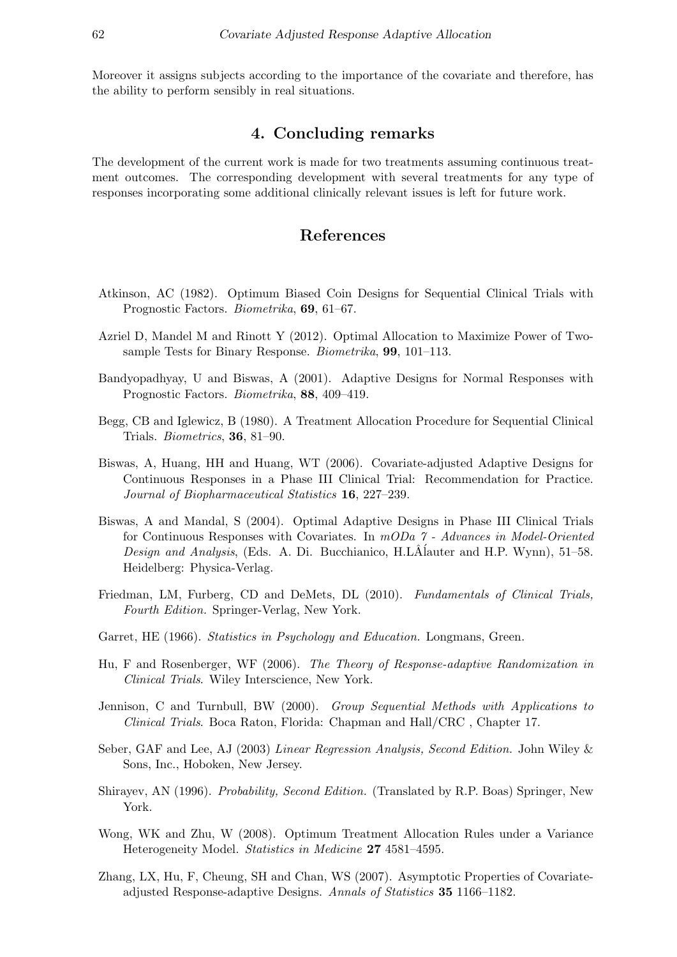Moreover it assigns subjects according to the importance of the covariate and therefore, has the ability to perform sensibly in real situations.

## 4. Concluding remarks

The development of the current work is made for two treatments assuming continuous treatment outcomes. The corresponding development with several treatments for any type of responses incorporating some additional clinically relevant issues is left for future work.

## References

- Atkinson, AC (1982). Optimum Biased Coin Designs for Sequential Clinical Trials with Prognostic Factors. Biometrika, 69, 61–67.
- Azriel D, Mandel M and Rinott Y (2012). Optimal Allocation to Maximize Power of Twosample Tests for Binary Response. Biometrika, 99, 101–113.
- Bandyopadhyay, U and Biswas, A (2001). Adaptive Designs for Normal Responses with Prognostic Factors. Biometrika, 88, 409–419.
- Begg, CB and Iglewicz, B (1980). A Treatment Allocation Procedure for Sequential Clinical Trials. Biometrics, 36, 81–90.
- Biswas, A, Huang, HH and Huang, WT (2006). Covariate-adjusted Adaptive Designs for Continuous Responses in a Phase III Clinical Trial: Recommendation for Practice. Journal of Biopharmaceutical Statistics 16, 227–239.
- Biswas, A and Mandal, S (2004). Optimal Adaptive Designs in Phase III Clinical Trials for Continuous Responses with Covariates. In mODa 7 - Advances in Model-Oriented Design and Analysis, (Eds. A. Di. Bucchianico, H.LA<sup>{</sup>lauter and H.P. Wynn), 51–58. Heidelberg: Physica-Verlag.
- Friedman, LM, Furberg, CD and DeMets, DL (2010). Fundamentals of Clinical Trials, Fourth Edition. Springer-Verlag, New York.
- Garret, HE (1966). Statistics in Psychology and Education. Longmans, Green.
- Hu, F and Rosenberger, WF (2006). The Theory of Response-adaptive Randomization in Clinical Trials. Wiley Interscience, New York.
- Jennison, C and Turnbull, BW (2000). Group Sequential Methods with Applications to Clinical Trials. Boca Raton, Florida: Chapman and Hall/CRC , Chapter 17.
- Seber, GAF and Lee, AJ (2003) Linear Regression Analysis, Second Edition. John Wiley & Sons, Inc., Hoboken, New Jersey.
- Shirayev, AN (1996). Probability, Second Edition. (Translated by R.P. Boas) Springer, New York.
- Wong, WK and Zhu, W (2008). Optimum Treatment Allocation Rules under a Variance Heterogeneity Model. Statistics in Medicine 27 4581–4595.
- Zhang, LX, Hu, F, Cheung, SH and Chan, WS (2007). Asymptotic Properties of Covariateadjusted Response-adaptive Designs. Annals of Statistics 35 1166–1182.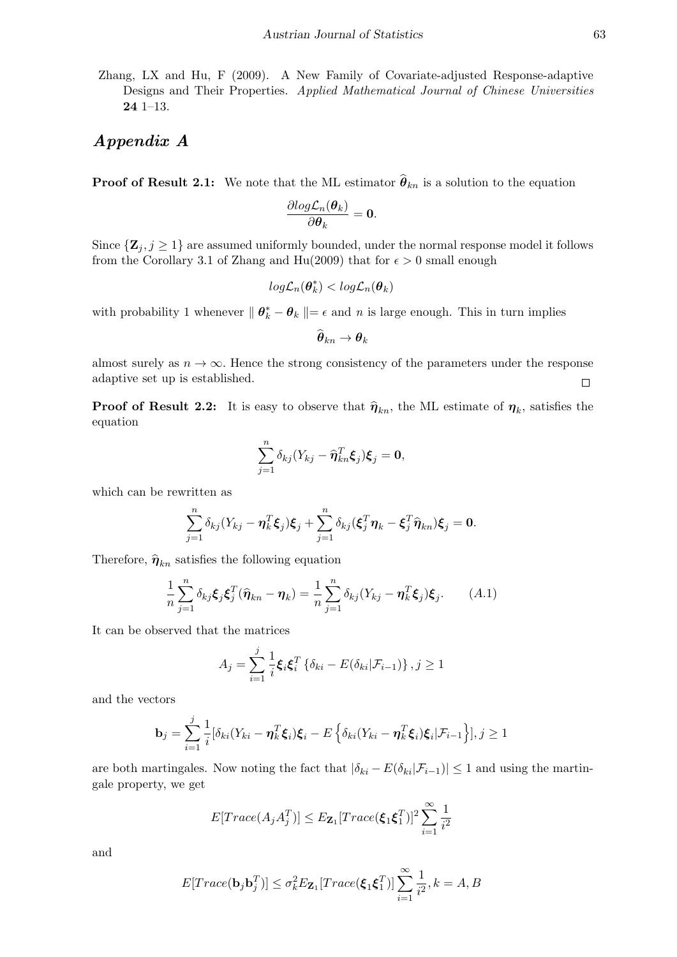Zhang, LX and Hu, F (2009). A New Family of Covariate-adjusted Response-adaptive Designs and Their Properties. Applied Mathematical Journal of Chinese Universities 24 1–13.

## Appendix A

**Proof of Result 2.1:** We note that the ML estimator  $\hat{\theta}_{kn}$  is a solution to the equation

$$
\frac{\partial log\mathcal{L}_n(\boldsymbol{\theta}_k)}{\partial \boldsymbol{\theta}_k} = \mathbf{0}.
$$

Since  $\{Z_j, j \geq 1\}$  are assumed uniformly bounded, under the normal response model it follows from the Corollary 3.1 of Zhang and Hu(2009) that for  $\epsilon > 0$  small enough

$$
log\mathcal{L}_n(\boldsymbol{\theta}_k^*) < log\mathcal{L}_n(\boldsymbol{\theta}_k)
$$

with probability 1 whenever  $|| \theta_k^* - \theta_k || = \epsilon$  and n is large enough. This in turn implies

$$
\widehat{\boldsymbol\theta}_{kn} \to \boldsymbol\theta_k
$$

almost surely as  $n \to \infty$ . Hence the strong consistency of the parameters under the response adaptive set up is established.  $\Box$ 

**Proof of Result 2.2:** It is easy to observe that  $\hat{\eta}_{kn}$ , the ML estimate of  $\eta_k$ , satisfies the equation

$$
\sum_{j=1}^n \delta_{kj} (Y_{kj} - \widehat{\boldsymbol{\eta}}_{kn}^T \boldsymbol{\xi}_j) \boldsymbol{\xi}_j = \mathbf{0},
$$

which can be rewritten as

$$
\sum_{j=1}^n \delta_{kj} (Y_{kj} - \boldsymbol{\eta}_k^T \boldsymbol{\xi}_j) \boldsymbol{\xi}_j + \sum_{j=1}^n \delta_{kj} (\boldsymbol{\xi}_j^T \boldsymbol{\eta}_k - \boldsymbol{\xi}_j^T \widehat{\boldsymbol{\eta}}_{kn}) \boldsymbol{\xi}_j = \mathbf{0}.
$$

Therefore,  $\hat{\eta}_{kn}$  satisfies the following equation

$$
\frac{1}{n}\sum_{j=1}^{n}\delta_{kj}\xi_j\xi_j^T(\widehat{\boldsymbol{\eta}}_{kn}-\boldsymbol{\eta}_k)=\frac{1}{n}\sum_{j=1}^{n}\delta_{kj}(Y_{kj}-\boldsymbol{\eta}_k^T\xi_j)\xi_j.
$$
 (A.1)

It can be observed that the matrices

$$
A_j = \sum_{i=1}^j \frac{1}{i} \boldsymbol{\xi}_i \boldsymbol{\xi}_i^T \left\{ \delta_{ki} - E(\delta_{ki} | \mathcal{F}_{i-1}) \right\}, j \ge 1
$$

and the vectors

$$
\mathbf{b}_{j} = \sum_{i=1}^{j} \frac{1}{i} [\delta_{ki}(Y_{ki} - \boldsymbol{\eta}_k^T \boldsymbol{\xi}_i) \boldsymbol{\xi}_i - E \left\{ \delta_{ki}(Y_{ki} - \boldsymbol{\eta}_k^T \boldsymbol{\xi}_i) \boldsymbol{\xi}_i | \mathcal{F}_{i-1} \right\}], j \ge 1
$$

are both martingales. Now noting the fact that  $|\delta_{ki} - E(\delta_{ki}|\mathcal{F}_{i-1})| \leq 1$  and using the martingale property, we get

$$
E[Trace(A_jA_j^T)] \leq E_{\mathbf{Z}_1}[Trace(\boldsymbol{\xi}_1\boldsymbol{\xi}_1^T)]^2 \sum_{i=1}^{\infty} \frac{1}{i^2}
$$

and

$$
E[Trace(\mathbf{b}_j \mathbf{b}_j^T)] \leq \sigma_k^2 E_{\mathbf{Z}_1}[Trace(\boldsymbol{\xi}_1 \boldsymbol{\xi}_1^T)] \sum_{i=1}^{\infty} \frac{1}{i^2}, k = A, B
$$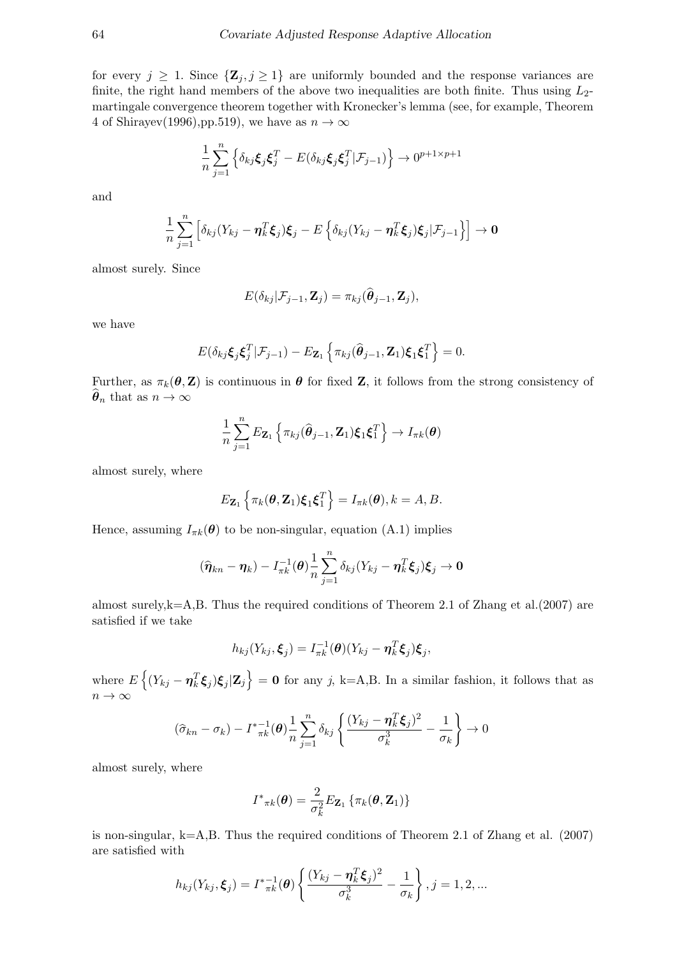for every  $j \geq 1$ . Since  $\{Z_j, j \geq 1\}$  are uniformly bounded and the response variances are finite, the right hand members of the above two inequalities are both finite. Thus using  $L_2$ martingale convergence theorem together with Kronecker's lemma (see, for example, Theorem 4 of Shirayev(1996),pp.519), we have as  $n \to \infty$ 

$$
\frac{1}{n}\sum_{j=1}^{n}\left\{\delta_{kj}\boldsymbol{\xi}_{j}\boldsymbol{\xi}_{j}^{T}-E(\delta_{kj}\boldsymbol{\xi}_{j}\boldsymbol{\xi}_{j}^{T}|\mathcal{F}_{j-1})\right\}\rightarrow 0^{p+1\times p+1}
$$

and

$$
\frac{1}{n}\sum_{j=1}^n\left[\delta_{kj}(Y_{kj}-\boldsymbol{\eta}_k^T\boldsymbol{\xi}_j)\boldsymbol{\xi}_j-E\left\{\delta_{kj}(Y_{kj}-\boldsymbol{\eta}_k^T\boldsymbol{\xi}_j)\boldsymbol{\xi}_j|\mathcal{F}_{j-1}\right\}\right]\rightarrow\mathbf{0}
$$

almost surely. Since

$$
E(\delta_{kj}|\mathcal{F}_{j-1}, \mathbf{Z}_j) = \pi_{kj}(\widehat{\boldsymbol{\theta}}_{j-1}, \mathbf{Z}_j),
$$

we have

$$
E(\delta_{kj}\boldsymbol{\xi}_j\boldsymbol{\xi}_j^T|\mathcal{F}_{j-1})-E_{\mathbf{Z}_1}\left\{\pi_{kj}(\widehat{\boldsymbol{\theta}}_{j-1},\mathbf{Z}_1)\boldsymbol{\xi}_1\boldsymbol{\xi}_1^T\right\}=0.
$$

Further, as  $\pi_k(\theta, \mathbf{Z})$  is continuous in  $\theta$  for fixed  $\mathbf{Z}$ , it follows from the strong consistency of  $\widehat{\boldsymbol{\theta}}_n$  that as  $n \to \infty$ 

$$
\frac{1}{n}\sum_{j=1}^n E_{\mathbf{Z}_1}\left\{\pi_{kj}(\widehat{\boldsymbol{\theta}}_{j-1},\mathbf{Z}_1)\boldsymbol{\xi}_1\boldsymbol{\xi}_1^T\right\} \to I_{\pi k}(\boldsymbol{\theta})
$$

almost surely, where

$$
E_{\mathbf{Z}_1}\left\{\pi_k(\boldsymbol{\theta},\mathbf{Z}_1)\boldsymbol{\xi}_1\boldsymbol{\xi}_1^T\right\}=I_{\pi k}(\boldsymbol{\theta}), k=A, B.
$$

Hence, assuming  $I_{\pi k}(\theta)$  to be non-singular, equation (A.1) implies

$$
(\widehat{\boldsymbol{\eta}}_{kn} - \boldsymbol{\eta}_k) - I_{\pi k}^{-1}(\boldsymbol{\theta}) \frac{1}{n} \sum_{j=1}^n \delta_{kj} (Y_{kj} - \boldsymbol{\eta}_k^T \boldsymbol{\xi}_j) \boldsymbol{\xi}_j \to \mathbf{0}
$$

almost surely, $k=A$ , B. Thus the required conditions of Theorem 2.1 of Zhang et al.(2007) are satisfied if we take

$$
h_{kj}(Y_{kj}, \boldsymbol{\xi}_j) = I_{\pi k}^{-1}(\boldsymbol{\theta})(Y_{kj} - \boldsymbol{\eta}_k^T \boldsymbol{\xi}_j) \boldsymbol{\xi}_j,
$$

where  $E\left\{(Y_{kj}-\eta_k^T \xi_j)\xi_j|\mathbf{Z}_j\right\}=0$  for any j, k=A,B. In a similar fashion, it follows that as  $n \to \infty$ 

$$
(\widehat{\sigma}_{kn} - \sigma_k) - I_{\pi k}^{* - 1}(\boldsymbol{\theta}) \frac{1}{n} \sum_{j=1}^n \delta_{kj} \left\{ \frac{(Y_{kj} - \boldsymbol{\eta}_k^T \boldsymbol{\xi}_j)^2}{\sigma_k^3} - \frac{1}{\sigma_k} \right\} \to 0
$$

almost surely, where

$$
I^*{}_{\pi k}(\boldsymbol{\theta}) = \frac{2}{\sigma_k^2} E_{\mathbf{Z}_1} \left\{ \pi_k(\boldsymbol{\theta}, \mathbf{Z}_1) \right\}
$$

is non-singular, k=A,B. Thus the required conditions of Theorem 2.1 of Zhang et al. (2007) are satisfied with

$$
h_{kj}(Y_{kj}, \xi_j) = I^*_{\pi k}^{-1}(\boldsymbol{\theta}) \left\{ \frac{(Y_{kj} - \boldsymbol{\eta}_k^T \xi_j)^2}{\sigma_k^3} - \frac{1}{\sigma_k} \right\}, j = 1, 2, ...
$$